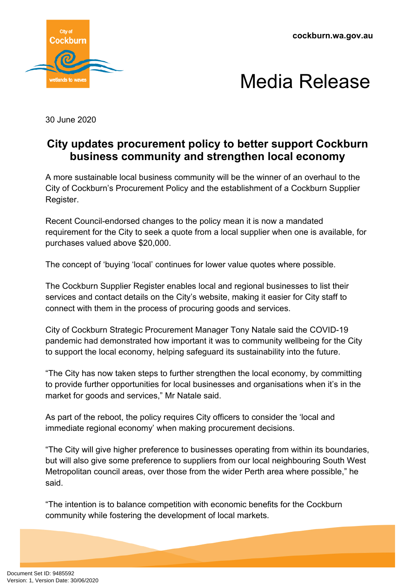**cockburn.wa.gov.au**





30 June 2020

## **City updates procurement policy to better support Cockburn business community and strengthen local economy**

A more sustainable local business community will be the winner of an overhaul to the City of Cockburn's Procurement Policy and the establishment of a Cockburn Supplier Register.

Recent Council-endorsed changes to the policy mean it is now a mandated requirement for the City to seek a quote from a local supplier when one is available, for purchases valued above \$20,000.

The concept of 'buying 'local' continues for lower value quotes where possible.

The Cockburn Supplier Register enables local and regional businesses to list their services and contact details on the City's website, making it easier for City staff to connect with them in the process of procuring goods and services.

City of Cockburn Strategic Procurement Manager Tony Natale said the COVID-19 pandemic had demonstrated how important it was to community wellbeing for the City to support the local economy, helping safeguard its sustainability into the future.

"The City has now taken steps to further strengthen the local economy, by committing to provide further opportunities for local businesses and organisations when it's in the market for goods and services," Mr Natale said.

As part of the reboot, the policy requires City officers to consider the 'local and immediate regional economy' when making procurement decisions.

"The City will give higher preference to businesses operating from within its boundaries, but will also give some preference to suppliers from our local neighbouring South West Metropolitan council areas, over those from the wider Perth area where possible," he said.

"The intention is to balance competition with economic benefits for the Cockburn community while fostering the development of local markets.

Document Set ID: 9485592<br>Version: 1, Version Date: 30/06/2020